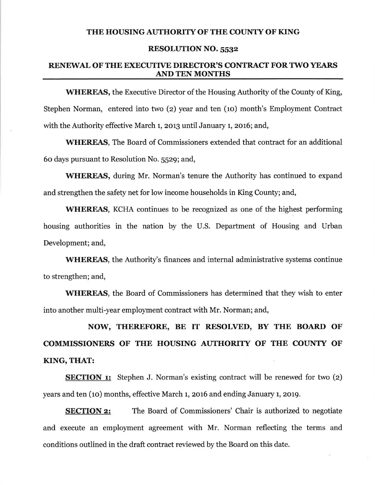### THE HOUSING AUTHORITY OF THE COUNTY OF KING

#### RESOLUTION NO. 5532

### RENEWAL OF THE EXECUTIVE DIRECTOR'S CONTRACT FOR 1WO YEARS AND TEN MONTHS

WHEREAS, the Executive Director of the Housing Authority of the County of King, Stephen Norman, entered into two (2) year and ten (10) month's Employment Contract with the Authority effective March 1, 2013 until January 1, 2016; and,

WHEREAS, The Board of Commissioners extended that contract for an additional 60 days pursuant to Resolution No. 5529; and,

WHEREAS, during Mr. Norman's tenure the Authority has continued to expand and strengthen the safety net for low income households in King County; and,

WHEREAS, KCHA continues to be recognized as one of the highest performing housing authorities in the nation by the U.S. Department of Housing and Urban Development; and,

WHEREAS, the Authority's finances and internal administrative systems continue to strengthen; and,

WHEREAS, the Board of Commissioners has determined that they wish to enter into another multi-year employment contract with Mr. Norman; and,

NOW, THEREFORE, BE IT RESOLVED, BY THE BOARD OF COMMISSIONERS OF THE HOUSING AUTHORITY OF THE COUNTY OF KING, THAT:

**SECTION 1:** Stephen J. Norman's existing contract will be renewed for two (2) years and ten (10) months, effective March 1, 2016 and ending January 1, 2019.

**SECTION 2:** The Board of Commissioners' Chair is authorized to negotiate and execute an employment agreement with Mr. Norman reflecting the terms and conditions outlined in the draft contract reviewed by the Board on this date.